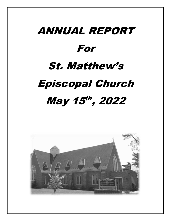# ANNUAL REPORT For St. Matthew's Episcopal Church May 15<sup>th</sup>, 2022

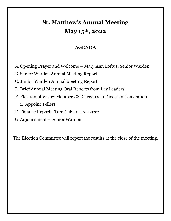# **St. Matthew's Annual Meeting May 15th, 2022**

## **AGENDA**

A. Opening Prayer and Welcome – Mary Ann Loftus, Senior Warden

B. Senior Warden Annual Meeting Report

C. Junior Warden Annual Meeting Report

D.Brief Annual Meeting Oral Reports from Lay Leaders

E. Election of Vestry Members & Delegates to Diocesan Convention

1. Appoint Tellers

F. Finance Report - Tom Culver, Treasurer

G.Adjournment – Senior Warden

The Election Committee will report the results at the close of the meeting.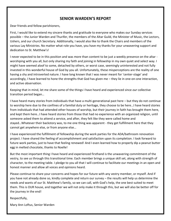#### **SENIOR WARDEN'S REPORT**

Dear friends and fellow parishioners,

First, I would like to extend my sincere thanks and gratitude to everyone who makes our Sunday services possible – the Junior Warden and Thurifer, the members of the Altar Guild, the Minister of Music, the Lectors, Ushers, and our church Secretary. Additionally, I would also like to thank the Chairs and members of the various Lay Ministries. No matter what role you have, you have my thanks for your unwavering support and dedication to St. Matthew's!

I never expected to be in this position and was more than content to be just a weekly presence on the altar worshiping with you all, but only sharing my faith and joining in fellowship in my own quiet and select way. I might have seemed aloof to some, detached by others, or worst case, seemingly uninterested and not fully invested in this wonderful house of God by you all. Unfortunately, these misperceptions are the reality of one having a shy and introverted nature. I have long known that I was never meant for 'center-stage' and accordingly, I have learned to hone the strengths that God has given me – they lie in one-on-one interaction, and active observation.

Keeping that in mind, let me share some of the things I have heard and experienced since *our* collective transition period began…

I have heard many stories from individuals that have a multi-generational past here – but they do not continue to worship here due to the confines of a familial duty or heritage, they choose to be here…I have heard stories from individuals that had attended other houses of worship, but their journey in faith has brought them here, and kept them here…I have heard stories from those that had no experience with an organized religion, until someone asked them to attend a service, and after, they felt like they were called home and stayed…Whatever their backstory was, to me one thing was apparent - they get fulfillment here that they cannot get anywhere else, or from anyone else…

I have experienced the fulfillment of fellowship during the work parties for the ADA/bathroom renovation project. I have shared the feeling of accomplishment and satisfaction upon its completion. I look forward to future work parties, just to have that feeling renewed! And I even learned how to properly dip a peanut butter egg in melted chocolate, thanks to Noelle!

But the most important thing I have heard and experienced firsthand is the unwavering commitment of the vestry, to see us through this transitional time. Each member brings a unique skill set, along with strength of character, to the meeting table. I pledge to you all that I will continue to facilitate our meetings in an open and honest manner and allow all voices and opinions heard.

Please continue to share your concerns and hopes for our future with any vestry member, or myself. And if you have not already done so, kindly complete and return our survey – the results will help us determine the needs and wants of our St. Matthew's family, so we can call, with God's help, the one best suited to meet them. This is OUR house, and together we will not only make it through this, but we will also be better off for the journey in the end!

Respectfully,

Mary Ann Loftus, Senior Warden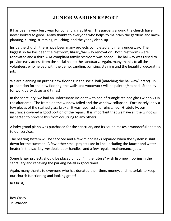## **JUNIOR WARDEN REPORT**

It has been a very busy year for our church facilities. The gardens around the church have never looked so good. Many thanks to everyone who helps to maintain the gardens and lawnplanting, cutting, trimming, mulching, and the yearly clean-up.

Inside the church, there have been many projects completed and many underway. The biggest so far has been the restroom, library/hallway renovation. Both restrooms were renovated and a third ADA compliant family restroom was added. The hallway was raised to provide easy access from the social hall to the sanctuary. Again, many thanks to all the volunteers who helped with the demo, sanding, painting, staining and the beautiful decorating job.

We are planning on putting new flooring in the social hall (matching the hallway/library). In preparation for the new flooring, the walls and woodwork will be painted/stained. Stand by for work party dates and times!

In the sanctuary, we had an unfortunate incident with one of triangle stained glass windows in the altar area. The frame on the window failed and the window collapsed. Fortunately, only a few pieces of the stained glass broke. It was repaired and reinstalled. Gratefully, our insurance covered a good portion of the repair. It is important that we have all the windows inspected to prevent this from occurring to any others.

A baby grand piano was purchased for the sanctuary and its sound makes a wonderful addition to our services.

The heating system will be serviced and a few minor leaks repaired when the system is shut down for the summer. A few other small projects are in line, including the faucet and water heater in the sacristy, vestibule door handles, and a few regular maintenance jobs.

Some larger projects should be placed on our "in the future" wish list- new flooring in the sanctuary and repaving the parking lot-all in good time!

Again, many thanks to everyone who has donated their time, money, and materials to keep our church functioning and looking great!

In Christ,

Roy Casey Jr. Warden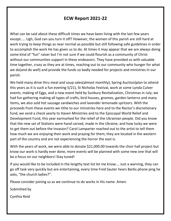## **ECW Report 2021-22**

What can be said about these difficult times we have been living with the last few years except….. Ugh, God can you turn it off? However, the women of this parish are still hard at work trying to keep things as near normal as possible but still following safe guidelines in order to accomplish the work He has given us to do. At times it may appear that we are always doing some kind of "fun" raiser but I'm not sure if we could flourish as a community of Christ without our communities support in these endeavors. They have provided us with valuable time together, crazy as they are at times, reaching out to our community who hunger for what we do(and do well) and provide the funds so badly needed for projects and ministries in our parish.

We held many drive thru meal and soup sales(almost monthly), Spring Auction(plan to attend this years as it is such a fun evening 5/21), St Nicholas Festival, work at some Lynda Culver events, making of Eggs, and a new event held by Sunbury Revitalization, Christmas in July; we had fun gathering making all types of crafts, bird houses, gnomes, garden lanterns and many items, we also sold hot sausage sandwiches and lavender lemonade spritzers. With the proceeds from these events we tithe to our ministries here and to the Rector's discretionary fund, we send a check yearly to Haven Ministries and to the Episcopal World Relief and Development Fund, this year earmarked for the relief of the Ukrainian people. Did you know that the new set of Stations were hand carved, made in the Ukraine, and how lucky we were to get them out before the invasion? Carol Lamparter reached out to the artist to tell them how much we are enjoying their work and praying for them; they are located in the western part of the country and are not experiencing the horror the east is.

With the years of work, we were able to donate \$21,000.00 towards the choir hall project but know our work is hardly ever done, more events will be planned with some new one that will be a focus on our neighbors! Stay tuned!

If you would like to be included in the lengthy text list let me know…. Just a warning, they can go off task very quickly but are entertaining, every time Fred Sauter hears Barbs phone ping he asks, "the church ladies?".

Please consider joining us as we continue to do works in His name. Amen.

Submitted by

Cynthia Reid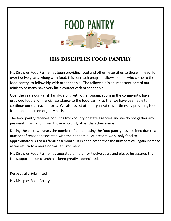

## **HIS DISCIPLES FOOD PANTRY**

His Disciples Food Pantry has been providing food and other necessities to those in need, for over twelve years. Along with food, this outreach program allows people who come to the food pantry, to fellowship with other people. The fellowship is an important part of our ministry as many have very little contact with other people.

Over the years our Parish family, along with other organizations in the community, have provided food and financial assistance to the food pantry so that we have been able to continue our outreach efforts. We also assist other organizations at times by providing food for people on an emergency basis.

The food pantry receives no funds from county or state agencies and we do not gather any personal information from those who visit, other than their name.

During the past two years the number of people using the food pantry has declined due to a number of reasons associated with the pandemic. At present we supply food to approximately 30 to 40 families a month. It is anticipated that the numbers will again increase as we return to a more normal environment.

His Disciples Food Pantry has operated on faith for twelve years and please be assured that the support of our church has been greatly appreciated.

Respectfully Submitted

His Disciples Food Pantry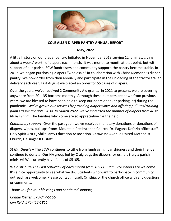

#### **COLE ALLEN DIAPER PANTRY ANNUAL REPORT**

#### **May, 2022**

A little history on our diaper pantry: Initiated in November 2013 serving 12 families, giving about a weeks' worth of diapers each month. It was month to month at that point, but with support of our parish, ECW fundraisers and community support, the pantry became stable. In 2017, we began purchasing diapers "wholesale" in collaboration with Christ Memorial's diaper pantry. We now order from then annually and participate in the unloading of the tractor trailer delivery each year. Last August we placed an order for 55 cases of diapers.

Over the years, we've received 2 Community Aid grants. In 2021 to present, we are covering anywhere from 20 – 35 bottoms monthly. Although these numbers are down from previous years, we are blessed to have been able to keep our doors open (or parking lot) during the pandemic. *We've grown our services by providing diaper wipes and offering pull-ups/training paints as we are able. Also, In March 2022, we've increased the number of diapers from 40 to 80 per child.* The families who come are so appreciative for the help!

*Community support-* Over the past year, we've received monetary donations or donations of diapers, wipes, pull-ups from: Mountain Presbyterian Church, Dr. Pagana-Defazio office staff, Holy Spirit ANCC, Shikellamy Education Association, Catawissa Avenue United Methodist Church, Geisinger ICU staff.

*St Matthew's* – The ECW continues to tithe from fundraising, parishioners and their friends continue to donate. Our NA group led by Craig bags the diapers for us. It is truly a parish ministry! We currently have funds of \$5105.

We distribute *The First Saturday of each month from 10 -11:30am*. Volunteers are welcome! It's a nice opportunity to see what we do. Students who want to participate in community outreach are welcome. Please contact myself, Cynthia, or the church office with any questions or comments.

*Thank you for your blessings and continued support,*

*Connie Kistler, 570-847-5156 Cyn Reid, 570-452-1811*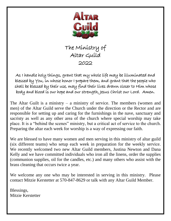

The Ministry of Altar Guild 2022

As I handle holy things, grant that my whole life may be illuminated and blessed by You, in whose honor I prepare them, and grant that the people who shall be blessed by their use, may find their lives drawn closer to Him whose body and blood is our hope and our strength, Jesus Christ our Lord. Amen.

The Altar Guilt is a ministry  $-$  a ministry of service. The members (women and men) of the Altar Guild serve the Church under the direction or the Rector and are responsible for setting up and caring for the furnishings in the nave, sanctuary and sacristy as well as any other area of the church where special worship may take place. It is a "behind the scenes" ministry, but a critical act of service to the church. Preparing the altar each week for worship is a way of expressing our faith.

We are blessed to have many women and men serving in this ministry of altar guild (six different teams) who setup each week in preparation for the weekly service. We recently welcomed two new Altar Guild members, Justina Newton and Dana Kelly and we have committed individuals who iron all the linens, order the supplies (communion supplies, oil for the candles, etc.) and many others who assist with the brass cleaning that occurs twice a year.

We welcome any one who may be interested in serving in this ministry. Please contact Mitzie Kerstetter at 570-847-8629 or talk with any Altar Guild Member.

Blessings, Mitzie Kerstetter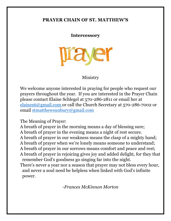## **PRAYER CHAIN OF ST. MATTHEW'S**

### **Intercessory**



## Ministry

We welcome anyone interested in praying for people who request our prayers throughout the year. If you are interested in the Prayer Chain please contact Elaine Schlegel at 570-286-2811 or email her at [elaines6@gmail.com](mailto:elaines6@gmail.com) or call the Church Secretary at 570-286-7002 or email [stmatthewsunbury@gmail.com](mailto:stmatthewsunbury@gmail.com)

The Meaning of Prayer:

A breath of prayer in the morning means a day of blessing sure; A breath of prayer in the evening means a night of rest secure. A breath of prayer in our weakness means the clasp of a mighty hand; A breath of prayer when we're lonely means someone to understand; A breath of prayer in our sorrows means comfort and peace and rest; A breath of prayer in rejoicing gives joy and added delight, for they that remember God's goodness go singing far into the night.

There's never a year nor a season that prayer may not bless every hour, and never a soul need be helpless when linked with God's infinite power.

-*Frances McKinnon Morton*